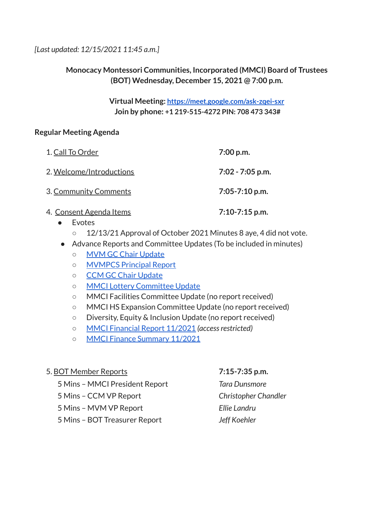*[Last updated: 12/15/2021 11:45 a.m.]*

## **Monocacy Montessori Communities, Incorporated (MMCI) Board of Trustees (BOT) Wednesday, December 15, 2021 @ 7:00 p.m.**

**Virtual Meeting: <https://meet.google.com/ask-zqei-sxr> Join by phone: +1 219-515-4272 PIN: 708 473 343#**

### **Regular Meeting Agenda**

| 1. Call To Order                | $7:00$ p.m.        |
|---------------------------------|--------------------|
| 2. Welcome/Introductions        | $7:02 - 7:05$ p.m. |
| 3. Community Comments           | $7:05 - 7:10$ p.m. |
| <u> 4. Consent Agenda Items</u> | $7:10-7:15$ p.m.   |

- Evotes
	- 12/13/21 Approval of October 2021 Minutes 8 aye, 4 did not vote.
- Advance Reports and Committee Updates (To be included in minutes)
	- MVM GC Chair [Update](https://drive.google.com/file/d/1kOS05IqizkHOY_7Tmo88gtcON6uiY_af/view?usp=sharing)
	- [MVMPCS](https://docs.google.com/document/u/0/d/1P3V3ije-hza17AdF7RKKXb_xwRqu0WgATye1IBwu55s/edit) Principal Report
	- CCM GC Chair [Update](https://docs.google.com/document/d/1Bn5zrNKM4PB6Ojj-kpqaAxzlkWEsSaSdJBHb7Oy_Vak/edit?usp=sharing)
	- MMCI Lottery [Committee](https://docs.google.com/document/d/164hPBlGAqqKWcfth7jkZKYtcITmFXjKRa7lrYa00Jgs/edit?usp=sharing) Update
	- MMCI Facilities Committee Update (no report received)
	- MMCI HS Expansion Committee Update (no report received)
	- Diversity, Equity & Inclusion Update (no report received)
	- MMCI [Financial](https://drive.google.com/file/d/1PnIfiR2X_5Q53R6axLZTwqEpmvoa0BGq/view?usp=sharing) Report 11/2021 *(accessrestricted)*
	- MMCI Finance [Summary](https://docs.google.com/document/d/17jF7rRB3A-9kLM9R4tM-3vNh2JUnJaZC/edit?usp=sharing&ouid=112286663168399488725&rtpof=true&sd=true) 11/2021

### 5. BOT Member Reports **7:15-7:35 p.m.**

- 5 Mins MMCI President Report *Tara Dunsmore*
- 5 Mins CCM VP Report *Christopher Chandler*
- 5 Mins MVM VP Report *Ellie Landru*
- 5 Mins BOT Treasurer Report *Jeff Koehler*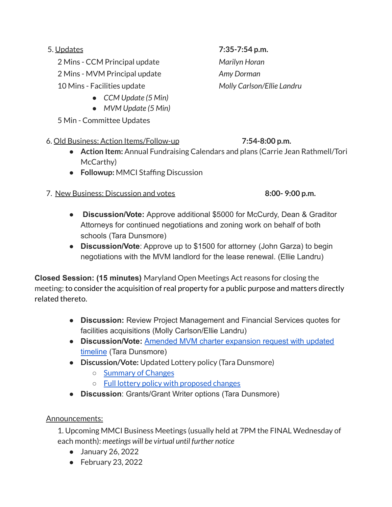2 Mins - CCM Principal update *Marilyn Horan*

2 Mins - MVM Principal update *Amy Dorman*

10 Mins - Facilities update *Molly Carlson/Ellie Landru*

- *● CCM Update (5 Min)*
- *● MVM Update (5 Min)*

5 Min - Committee Updates

# 6. Old Business: Action Items/Follow-up **7:54-8:00 p.m.**

- **● Action Item:** Annual Fundraising Calendars and plans (Carrie Jean Rathmell/Tori McCarthy)
- **Followup:** MMCI Staffing Discussion

# 7. New Business: Discussion and votes **8:00- 9:00 p.m.**

- *●* **Discussion/Vote:** Approve additional \$5000 for McCurdy, Dean & Graditor Attorneys for continued negotiations and zoning work on behalf of both schools (Tara Dunsmore)
- **Discussion/Vote**: Approve up to \$1500 for attorney (John Garza) to begin negotiations with the MVM landlord for the lease renewal. (Ellie Landru)

**Closed Session: (15 minutes)** Maryland Open Meetings Act reasons for closing the meeting: to consider the acquisition of real property for a public purpose and matters directly related thereto.

- **Discussion:** Review Project Management and Financial Services quotes for facilities acquisitions (Molly Carlson/Ellie Landru)
- **Discussion/Vote:** [Amended MVM charter expansion request](https://docs.google.com/document/u/0/d/1Ri90gERv9SRF6i7yDDwW7g5ZYWcN4fSV1gqG4hJItto/edit) with updated [timeline](https://docs.google.com/document/u/0/d/1Ri90gERv9SRF6i7yDDwW7g5ZYWcN4fSV1gqG4hJItto/edit) (Tara Dunsmore)
- **● Discussion/Vote:** Updated Lottery policy (Tara Dunsmore)
	- [Summary](https://docs.google.com/document/d/1bZZ9ir3LSsmPEn1tg2qTM6j-SMMYvaE9FvkP-2GJGxk/edit?usp=sharing) of Changes
	- Full lottery policy with [proposed](https://docs.google.com/document/d/19RbWmfO87OxtErTXg6PXyHcvsiiuxvNdPHd7j0GFTgA/edit?usp=sharing) changes
- **Discussion**: Grants/Grant Writer options (Tara Dunsmore)

## Announcements:

1. Upcoming MMCI Business Meetings (usually held at 7PM the FINAL Wednesday of each month): *meetings will be virtual until further notice*

- January 26, 2022
- February 23, 2022

5. Updates **7:35-7:54 p.m.**